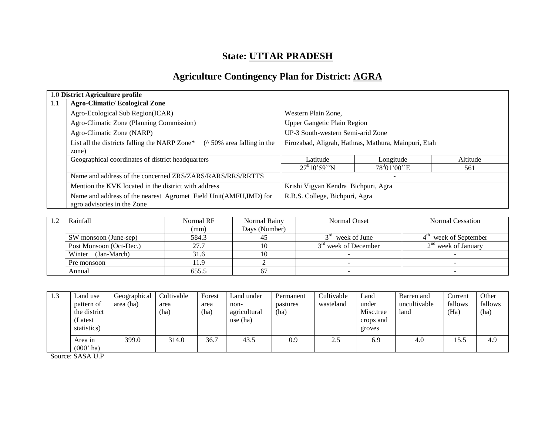# **State: UTTAR PRADESH**

# **Agriculture Contingency Plan for District: AGRA**

|     | 1.0 District Agriculture profile                                                                |                                                      |                              |          |  |
|-----|-------------------------------------------------------------------------------------------------|------------------------------------------------------|------------------------------|----------|--|
| 1.1 | <b>Agro-Climatic/Ecological Zone</b>                                                            |                                                      |                              |          |  |
|     | Agro-Ecological Sub Region(ICAR)                                                                | Western Plain Zone,                                  |                              |          |  |
|     | Agro-Climatic Zone (Planning Commission)                                                        | <b>Upper Gangetic Plain Region</b>                   |                              |          |  |
|     | Agro-Climatic Zone (NARP)                                                                       | UP-3 South-western Semi-arid Zone                    |                              |          |  |
|     | List all the districts falling the NARP Zone*<br>$($ \landom 50% area falling in the<br>zone)   | Firozabad, Aligrah, Hathras, Mathura, Mainpuri, Etah |                              |          |  |
|     | Geographical coordinates of district headquarters                                               | Latitude                                             | Longitude                    | Altitude |  |
|     |                                                                                                 | $27^010'59''N$                                       | $78^0 01' 00'' E$            | 561      |  |
|     | Name and address of the concerned ZRS/ZARS/RARS/RRS/RRTTS                                       |                                                      | $\qquad \qquad \blacksquare$ |          |  |
|     | Mention the KVK located in the district with address                                            | Krishi Vigyan Kendra Bichpuri, Agra                  |                              |          |  |
|     | Name and address of the nearest Agromet Field Unit(AMFU,IMD) for<br>agro advisories in the Zone | R.B.S. College, Bichpuri, Agra                       |                              |          |  |

| Rainfall<br>Normal RF   |       | Normal Rainy  | Normal Onset                     | Normal Cessation      |  |
|-------------------------|-------|---------------|----------------------------------|-----------------------|--|
|                         | (mm)  | Days (Number) |                                  |                       |  |
| SW monsoon (June-sep)   | 584.3 |               | $3rd$ week of June               | week of September     |  |
| Post Monsoon (Oct-Dec.) | 27.7  |               | 3 <sup>rd</sup> week of December | $2nd$ week of January |  |
| (Jan-March)<br>Winter   | 31.6  |               |                                  |                       |  |
| Pre monsoon             | 11.9  |               |                                  |                       |  |
| Annual                  | 655.5 |               |                                  |                       |  |

| 1.3 | and use<br>pattern of<br>the district<br>Latest<br>statistics) | Geographical<br>area (ha) | Cultivable<br>area<br>(ha) | Forest<br>area<br>(ha) | Land under<br>non-<br>agricultural<br>use (ha) | Permanent<br>pastures<br>(ha) | Cultivable<br>wasteland | Land<br>under<br>Misc.tree<br>crops and<br>groves | Barren and<br>uncultivable<br>land | Current<br>fallows<br>(Ha) | Other<br>fallows<br>(ha) |
|-----|----------------------------------------------------------------|---------------------------|----------------------------|------------------------|------------------------------------------------|-------------------------------|-------------------------|---------------------------------------------------|------------------------------------|----------------------------|--------------------------|
|     | Area in<br>$(000'$ ha)                                         | 399.0                     | 314.0                      | 36.7                   | 43.5                                           | 0.9                           | 2.5                     | 6.9                                               | 4.0                                | 15.5                       | 4.9                      |

Source: SASA U.P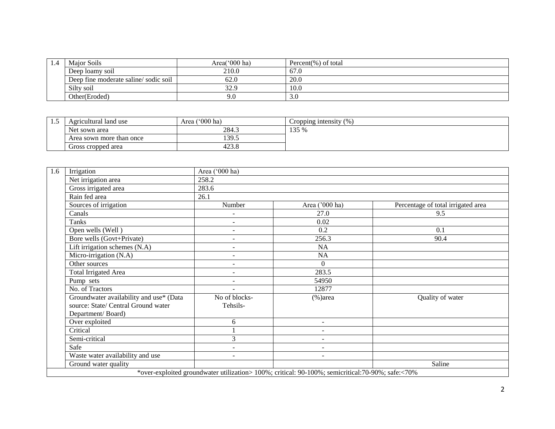| 1.4 | Major Soils                          | Area( $000$ ha) | Percent(%) of total |
|-----|--------------------------------------|-----------------|---------------------|
|     | Deep loamy soil                      | 210.0           | 67.0                |
|     | Deep fine moderate saline/sodic soil | 62.0            | 20.0                |
|     | Silty soil                           | 32.9            | 10.0                |
|     | Other(Eroded)                        | 9.0             | 3.0                 |

| سد | Agricultural land use    | $^{\circ}000$ ha)<br>Area | Cropping intensity $(\% )$ |
|----|--------------------------|---------------------------|----------------------------|
|    | Net sown area            | 284.3                     | 135 %                      |
|    | Area sown more than once | 139.5                     |                            |
|    | Gross cropped area       | 0 - 10<br>429.0           |                            |

| 1.6 | Irrigation                                                                                          | Area ('000 ha)            |                                                                                                   |                                    |
|-----|-----------------------------------------------------------------------------------------------------|---------------------------|---------------------------------------------------------------------------------------------------|------------------------------------|
|     | Net irrigation area                                                                                 | 258.2                     |                                                                                                   |                                    |
|     | Gross irrigated area                                                                                | 283.6                     |                                                                                                   |                                    |
|     | Rain fed area                                                                                       | 26.1                      |                                                                                                   |                                    |
|     | Sources of irrigation                                                                               | Number                    | Area ('000 ha)                                                                                    | Percentage of total irrigated area |
|     | Canals                                                                                              | $\qquad \qquad -$         | 27.0                                                                                              | 9.5                                |
|     | Tanks                                                                                               | $\overline{\phantom{a}}$  | 0.02                                                                                              |                                    |
|     | Open wells (Well)                                                                                   | ٠                         | 0.2                                                                                               | 0.1                                |
|     | Bore wells (Govt+Private)                                                                           | $\overline{\phantom{a}}$  | 256.3                                                                                             | 90.4                               |
|     | Lift irrigation schemes (N.A)                                                                       | $\blacksquare$            | NA                                                                                                |                                    |
|     | Micro-irrigation (N.A)                                                                              | $\overline{\phantom{a}}$  | NA                                                                                                |                                    |
|     | Other sources                                                                                       | $\blacksquare$            | $\Omega$                                                                                          |                                    |
|     | <b>Total Irrigated Area</b>                                                                         |                           | 283.5                                                                                             |                                    |
|     | Pump sets                                                                                           | ٠                         | 54950                                                                                             |                                    |
|     | No. of Tractors                                                                                     |                           | 12877                                                                                             |                                    |
|     | Groundwater availability and use* (Data<br>source: State/ Central Ground water<br>Department/Board) | No of blocks-<br>Tehsils- | $%$ )area                                                                                         | Quality of water                   |
|     | Over exploited                                                                                      | 6                         | $\sim$                                                                                            |                                    |
|     | Critical                                                                                            |                           | $\sim$                                                                                            |                                    |
|     | Semi-critical                                                                                       | 3                         | $\sim$                                                                                            |                                    |
|     | Safe                                                                                                | $\sim$                    | $\sim$                                                                                            |                                    |
|     | Waste water availability and use                                                                    | $\sim$                    | $\overline{\phantom{a}}$                                                                          |                                    |
|     | Ground water quality                                                                                |                           |                                                                                                   | Saline                             |
|     |                                                                                                     |                           | *over-exploited groundwater utilization> 100%; critical: 90-100%; semicritical: 70-90%; safe:<70% |                                    |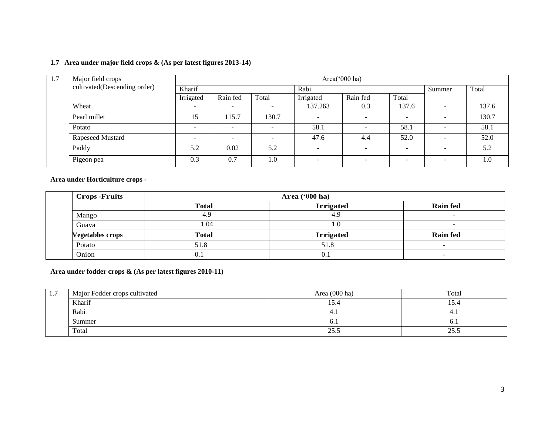#### **1.7 Area under major field crops & (As per latest figures 2013-14)**

| 1.7 | Major field crops            |           | Area('000 ha)            |                          |           |                          |                          |                          |       |  |  |
|-----|------------------------------|-----------|--------------------------|--------------------------|-----------|--------------------------|--------------------------|--------------------------|-------|--|--|
|     | cultivated(Descending order) | Kharif    | Rabi                     |                          |           |                          |                          | Summer                   | Total |  |  |
|     |                              | Irrigated | Rain fed                 | Total                    | Irrigated | Rain fed                 | Total                    |                          |       |  |  |
|     | Wheat                        |           |                          | $\overline{\phantom{a}}$ | 137.263   | 0.3                      | 137.6                    | $\overline{\phantom{a}}$ | 137.6 |  |  |
|     | Pearl millet                 | 15        | 115.7                    | 130.7                    |           | $\overline{\phantom{0}}$ | $\sim$                   | $\overline{\phantom{a}}$ | 130.7 |  |  |
|     | Potato                       |           | $\overline{\phantom{a}}$ | $\overline{\phantom{a}}$ | 58.1      | -                        | 58.1                     | $\overline{\phantom{a}}$ | 58.1  |  |  |
|     | Rapeseed Mustard             |           | $\overline{\phantom{0}}$ | $\overline{\phantom{0}}$ | 47.6      | 4.4                      | 52.0                     | $\overline{\phantom{a}}$ | 52.0  |  |  |
|     | Paddy                        | 5.2       | 0.02                     | 5.2                      | -         | $\overline{\phantom{a}}$ | $\overline{\phantom{0}}$ | $\overline{\phantom{a}}$ | 5.2   |  |  |
|     | Pigeon pea                   | 0.3       | 0.7                      | 1.0                      |           | $\overline{\phantom{0}}$ | $\overline{\phantom{a}}$ | $\overline{\phantom{a}}$ | 1.0   |  |  |

**Area under Horticulture crops -**

| <b>Crops</b> - <b>Fruits</b> |              |                  |                          |
|------------------------------|--------------|------------------|--------------------------|
|                              | <b>Total</b> | <b>Irrigated</b> | <b>Rain fed</b>          |
| Mango                        | 4.9          | 4.9              | $\sim$                   |
| Guava                        | 1.04         | T.U              | $\overline{\phantom{a}}$ |
| <b>Vegetables crops</b>      | <b>Total</b> | <b>Irrigated</b> | <b>Rain fed</b>          |
| Potato                       | 51.8         | 51.8             |                          |
| Onion                        | 0.1          | 0. .             |                          |

**Area under fodder crops & (As per latest figures 2010-11)**

| $\pm$ . | Major Fodder crops cultivated | Area (000 ha) | Total      |  |
|---------|-------------------------------|---------------|------------|--|
|         | Kharif                        | 15.4          | 15.4       |  |
|         | Rabi                          | 4.1           | $+1$       |  |
|         | Summer                        | v.            | 0. I       |  |
|         | Total                         | 25.5          | 25<br>29.9 |  |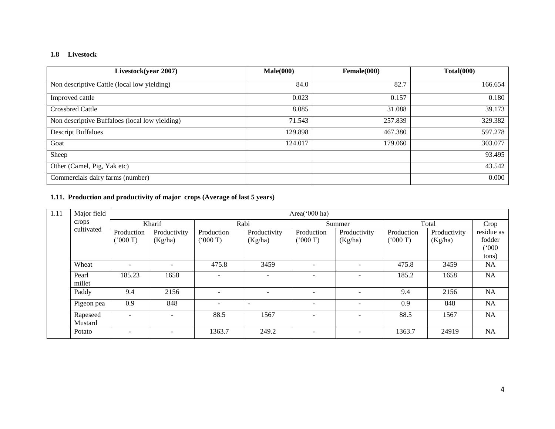#### **1.8 Livestock**

| Livestock(year 2007)                           | Male(000) | Female(000) | Total(000) |
|------------------------------------------------|-----------|-------------|------------|
| Non descriptive Cattle (local low yielding)    | 84.0      | 82.7        | 166.654    |
| Improved cattle                                | 0.023     | 0.157       | 0.180      |
| <b>Crossbred Cattle</b>                        | 8.085     | 31.088      | 39.173     |
| Non descriptive Buffaloes (local low yielding) | 71.543    | 257.839     | 329.382    |
| <b>Descript Buffaloes</b>                      | 129.898   | 467.380     | 597.278    |
| Goat                                           | 124.017   | 179.060     | 303.077    |
| Sheep                                          |           |             | 93.495     |
| Other (Camel, Pig, Yak etc)                    |           |             | 43.542     |
| Commercials dairy farms (number)               |           |             | 0.000      |

### **1.11. Production and productivity of major crops (Average of last 5 years)**

| 1.11 | Major field         |                          |                          |                          |                          | Area('000 ha)            |                          |            |              |            |
|------|---------------------|--------------------------|--------------------------|--------------------------|--------------------------|--------------------------|--------------------------|------------|--------------|------------|
|      | crops               |                          | Kharif                   |                          | Rabi                     |                          | Summer                   | Total      | Crop         |            |
|      | cultivated          | Production               | Productivity             | Production               | Productivity             | Production               | Productivity             | Production | Productivity | residue as |
|      |                     | (000 T)                  | (Kg/ha)                  | (5000)                   | (Kg/ha)                  | (000 T)                  | (Kg/ha)                  | (000 T)    | (Kg/ha)      | fodder     |
|      |                     |                          |                          |                          |                          |                          |                          |            |              | (000)      |
|      |                     |                          |                          |                          |                          |                          |                          |            |              | tons)      |
|      | Wheat               | $\overline{\phantom{a}}$ | $\overline{\phantom{a}}$ | 475.8                    | 3459                     | $\overline{\phantom{a}}$ | $\overline{\phantom{a}}$ | 475.8      | 3459         | <b>NA</b>  |
|      | Pearl               | 185.23                   | 1658                     | $\overline{\phantom{0}}$ | $\overline{\phantom{0}}$ | $\sim$                   | $\overline{\phantom{a}}$ | 185.2      | 1658         | <b>NA</b>  |
|      | millet              |                          |                          |                          |                          |                          |                          |            |              |            |
|      | Paddy               | 9.4                      | 2156                     |                          |                          | $\overline{\phantom{0}}$ |                          | 9.4        | 2156         | <b>NA</b>  |
|      | Pigeon pea          | 0.9                      | 848                      | $\overline{\phantom{0}}$ | $\sim$                   | $\overline{\phantom{0}}$ | $\overline{\phantom{a}}$ | 0.9        | 848          | NA         |
|      | Rapeseed<br>Mustard | $\overline{\phantom{a}}$ | $\overline{\phantom{a}}$ | 88.5                     | 1567                     | $\overline{\phantom{0}}$ | $\overline{\phantom{a}}$ | 88.5       | 1567         | NA         |
|      | Potato              | $\overline{\phantom{a}}$ | $\overline{\phantom{a}}$ | 1363.7                   | 249.2                    |                          | -                        | 1363.7     | 24919        | NA         |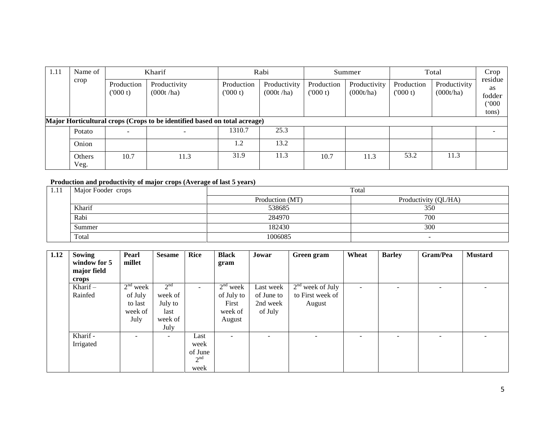| 1.11 | Name of<br>crop | Kharif                 |                                                                           |                       | Rabi                      |                       | Summer                    |                       | Total                     |                                                  |
|------|-----------------|------------------------|---------------------------------------------------------------------------|-----------------------|---------------------------|-----------------------|---------------------------|-----------------------|---------------------------|--------------------------------------------------|
|      |                 | Production<br>('000 t) | Productivity<br>(000t/ha)                                                 | Production<br>(000 t) | Productivity<br>(000t/ha) | Production<br>(000 t) | Productivity<br>(000t/ha) | Production<br>(000 t) | Productivity<br>(000t/ha) | residue<br><b>as</b><br>fodder<br>(000)<br>tons) |
|      |                 |                        | Major Horticultural crops (Crops to be identified based on total acreage) |                       |                           |                       |                           |                       |                           |                                                  |
|      | Potato          | -                      | $\overline{\phantom{a}}$                                                  | 1310.7                | 25.3                      |                       |                           |                       |                           | $\overline{\phantom{0}}$                         |
|      | Onion           |                        |                                                                           | 1.2                   | 13.2                      |                       |                           |                       |                           |                                                  |
|      | Others<br>Veg.  | 10.7                   | 11.3                                                                      | 31.9                  | 11.3                      | 10.7                  | 11.3                      | 53.2                  | 11.3                      |                                                  |

#### **Production and productivity of major crops (Average of last 5 years)**

| 1.11 | Major Fooder crops |                 | Total                    |
|------|--------------------|-----------------|--------------------------|
|      |                    | Production (MT) | Productivity (Ql./HA)    |
|      | Kharif             | 538685          | 350                      |
|      | Rabi               | 284970          | 700                      |
|      | Summer             | 182430          | 300                      |
|      | Total              | 1006085         | $\overline{\phantom{a}}$ |

| 1.12 | Sowing<br>window for 5 | Pearl<br>millet          | <b>Sesame</b>            | <b>Rice</b>     | <b>Black</b><br>gram     | Jowar                    | Green gram               | Wheat          | <b>Barley</b>            | Gram/Pea | <b>Mustard</b> |
|------|------------------------|--------------------------|--------------------------|-----------------|--------------------------|--------------------------|--------------------------|----------------|--------------------------|----------|----------------|
|      | major field            |                          |                          |                 |                          |                          |                          |                |                          |          |                |
|      | crops                  |                          |                          |                 |                          |                          |                          |                |                          |          |                |
|      | Kharif $-$             | $2nd$ week               | 2 <sup>nd</sup>          | $\sim$          | $2nd$ week               | Last week                | $2nd$ week of July       | $\overline{a}$ |                          | -        |                |
|      | Rainfed                | of July                  | week of                  |                 | of July to               | of June to               | to First week of         |                |                          |          |                |
|      |                        | to last                  | July to                  |                 | First                    | 2nd week                 | August                   |                |                          |          |                |
|      |                        | week of                  | last                     |                 | week of                  | of July                  |                          |                |                          |          |                |
|      |                        | July                     | week of                  |                 | August                   |                          |                          |                |                          |          |                |
|      |                        |                          | July                     |                 |                          |                          |                          |                |                          |          |                |
|      | Kharif -               | $\overline{\phantom{a}}$ | $\overline{\phantom{0}}$ | Last            | $\overline{\phantom{0}}$ | $\overline{\phantom{a}}$ | $\overline{\phantom{0}}$ | -              | $\overline{\phantom{0}}$ | -        |                |
|      | Irrigated              |                          |                          | week            |                          |                          |                          |                |                          |          |                |
|      |                        |                          |                          | of June         |                          |                          |                          |                |                          |          |                |
|      |                        |                          |                          | 2 <sup>nd</sup> |                          |                          |                          |                |                          |          |                |
|      |                        |                          |                          | week            |                          |                          |                          |                |                          |          |                |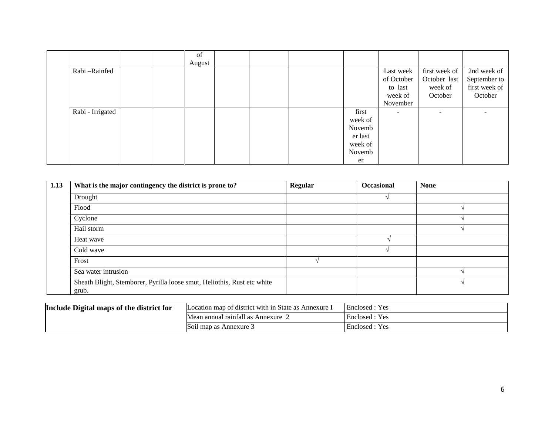|                  |  | of<br>August |  |                                                                  |                                                           |                                                     |                                                         |
|------------------|--|--------------|--|------------------------------------------------------------------|-----------------------------------------------------------|-----------------------------------------------------|---------------------------------------------------------|
| Rabi-Rainfed     |  |              |  |                                                                  | Last week<br>of October<br>to last<br>week of<br>November | first week of<br>October last<br>week of<br>October | 2nd week of<br>September to<br>first week of<br>October |
| Rabi - Irrigated |  |              |  | first<br>week of<br>Novemb<br>er last<br>week of<br>Novemb<br>er | $\overline{\phantom{a}}$                                  | $\overline{\phantom{0}}$                            |                                                         |

| 1.13 | What is the major contingency the district is prone to?                          | Regular | <b>Occasional</b> | <b>None</b> |
|------|----------------------------------------------------------------------------------|---------|-------------------|-------------|
|      | Drought                                                                          |         |                   |             |
|      | Flood                                                                            |         |                   |             |
|      | Cyclone                                                                          |         |                   |             |
|      | Hail storm                                                                       |         |                   |             |
|      | Heat wave                                                                        |         |                   |             |
|      | Cold wave                                                                        |         |                   |             |
|      | Frost                                                                            |         |                   |             |
|      | Sea water intrusion                                                              |         |                   |             |
|      | Sheath Blight, Stemborer, Pyrilla loose smut, Heliothis, Rust etc white<br>grub. |         |                   |             |

| Include Digital maps of the district for | Location map of district with in State as Annexure 1 | Enclosed : Yes |
|------------------------------------------|------------------------------------------------------|----------------|
|                                          | Mean annual rainfall as Annexure                     | Enclosed : Yes |
|                                          | Soil map as Annexure 3                               | Enclosed : Yes |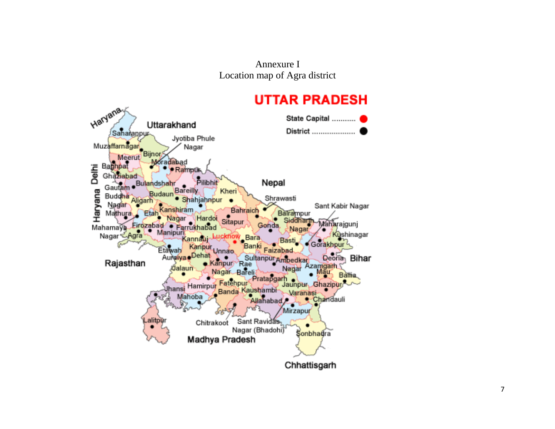Annexure I Location map of Agra district

# **UTTAR PRADESH**

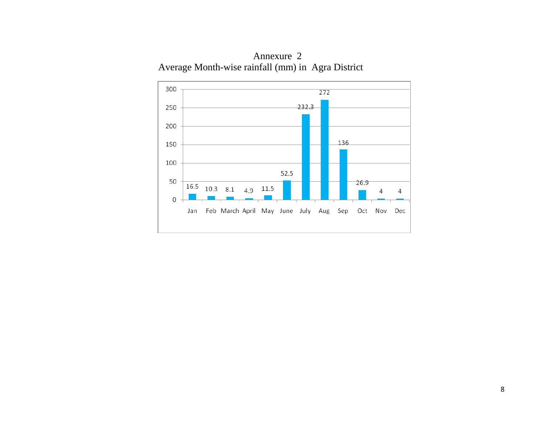Annexure 2 Average Month-wise rainfall (mm) in Agra District

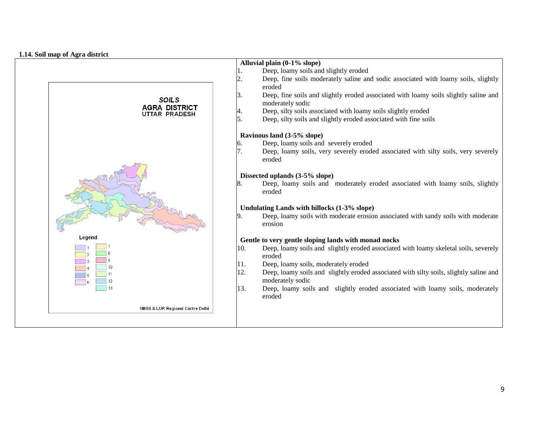#### **1.14. Soil map of Agra district**

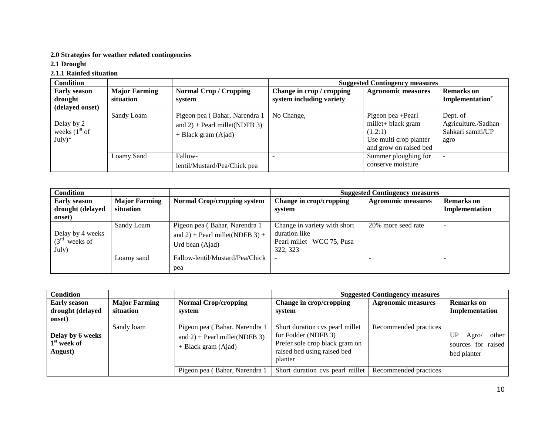#### **2.0 Strategies for weather related contingencies**

**2.1 Drought**

### **2.1.1 Rainfed situation**

| <b>Condition</b>                                  |                                   |                                                                                          |                                                       | <b>Suggested Contingency measures</b>                                                                  |                                                              |
|---------------------------------------------------|-----------------------------------|------------------------------------------------------------------------------------------|-------------------------------------------------------|--------------------------------------------------------------------------------------------------------|--------------------------------------------------------------|
| <b>Early season</b><br>drought<br>(delayed onset) | <b>Major Farming</b><br>situation | <b>Normal Crop / Cropping</b><br>system                                                  | Change in crop / cropping<br>system including variety | <b>Agronomic measures</b>                                                                              | <b>Remarks</b> on<br>Implementation <sup>e</sup>             |
| Delay by 2<br>weeks $(1st$ of<br>$July)*$         | Sandy Loam                        | Pigeon pea (Bahar, Narendra 1<br>and $2$ ) + Pearl millet(NDFB 3)<br>+ Black gram (Ajad) | No Change,                                            | Pigeon pea +Pearl<br>millet+ black gram<br>(1:2:1)<br>Use multi crop planter<br>and grow on raised bed | Dept. of<br>Agriculture./Sadhan<br>Sahkari samiti/UP<br>agro |
|                                                   | Loamy Sand                        | Fallow-<br>lentil/Mustard/Pea/Chick pea                                                  |                                                       | Summer ploughing for<br>conserve moisture                                                              |                                                              |

| <b>Condition</b>                                  |                                   |                                                                                     |                                                                                         | <b>Suggested Contingency measures</b> |                                     |
|---------------------------------------------------|-----------------------------------|-------------------------------------------------------------------------------------|-----------------------------------------------------------------------------------------|---------------------------------------|-------------------------------------|
| <b>Early season</b><br>drought (delayed<br>onset) | <b>Major Farming</b><br>situation | <b>Normal Crop/cropping system</b>                                                  | Change in crop/cropping<br>system                                                       | <b>Agronomic measures</b>             | <b>Remarks</b> on<br>Implementation |
| Delay by 4 weeks<br>$(3rd$ weeks of<br>July)      | Sandy Loam                        | Pigeon pea (Bahar, Narendra 1<br>and 2) + Pearl millet(NDFB 3) +<br>Urd bean (Ajad) | Change in variety with short<br>duration like<br>Pearl millet –WCC 75, Pusa<br>322, 323 | 20% more seed rate                    |                                     |
|                                                   | Loamy sand                        | Fallow-lentil/Mustard/Pea/Chick<br>pea                                              |                                                                                         |                                       |                                     |

| Condition                                         |                                   |                                                                                            |                                                                                                                                    | <b>Suggested Contingency measures</b> |                                                                  |
|---------------------------------------------------|-----------------------------------|--------------------------------------------------------------------------------------------|------------------------------------------------------------------------------------------------------------------------------------|---------------------------------------|------------------------------------------------------------------|
| <b>Early season</b><br>drought (delayed<br>onset) | <b>Major Farming</b><br>situation | <b>Normal Crop/cropping</b><br>system                                                      | Change in crop/cropping<br>system                                                                                                  | <b>Agronomic measures</b>             | <b>Remarks</b> on<br>Implementation                              |
| Delay by 6 weeks<br>$1st$ week of<br>August)      | Sandy loam                        | Pigeon pea (Bahar, Narendra 1<br>and $2$ ) + Pearl millet(NDFB 3)<br>$+$ Black gram (Ajad) | Short duration cvs pearl millet<br>for Fodder (NDFB 3)<br>Prefer sole crop black gram on<br>raised bed using raised bed<br>planter | Recommended practices                 | <b>UP</b><br>other<br>Agro/<br>sources for raised<br>bed planter |
|                                                   |                                   | Pigeon pea (Bahar, Narendra 1                                                              | Short duration cvs pearl millet                                                                                                    | Recommended practices                 |                                                                  |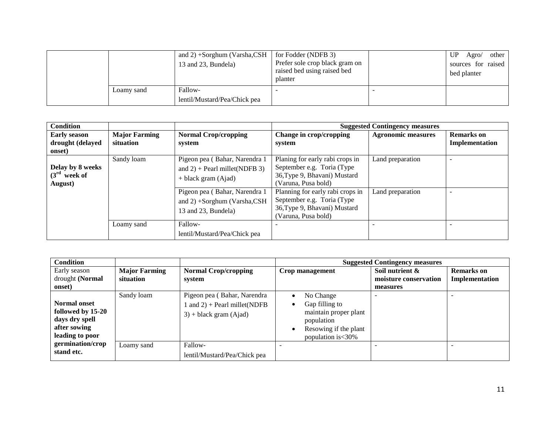|            | and 2) +Sorghum (Varsha,CSH<br>13 and 23, Bundela) | for Fodder (NDFB 3)<br>Prefer sole crop black gram on<br>raised bed using raised bed<br>planter | UP<br>Agro/ other<br>sources for raised<br>bed planter |
|------------|----------------------------------------------------|-------------------------------------------------------------------------------------------------|--------------------------------------------------------|
| Loamy sand | Fallow-                                            |                                                                                                 |                                                        |
|            | lentil/Mustard/Pea/Chick pea                       |                                                                                                 |                                                        |

| <b>Condition</b>                              |                      |                                                                                            |                                                                                                                       | <b>Suggested Contingency measures</b> |                   |
|-----------------------------------------------|----------------------|--------------------------------------------------------------------------------------------|-----------------------------------------------------------------------------------------------------------------------|---------------------------------------|-------------------|
| <b>Early season</b>                           | <b>Major Farming</b> | <b>Normal Crop/cropping</b>                                                                | Change in crop/cropping                                                                                               | <b>Agronomic measures</b>             | <b>Remarks</b> on |
| drought (delayed<br>onset)                    | situation            | system                                                                                     | system                                                                                                                |                                       | Implementation    |
| Delay by 8 weeks<br>$(3rd$ week of<br>August) | Sandy loam           | Pigeon pea (Bahar, Narendra 1<br>and $2$ ) + Pearl millet(NDFB 3)<br>$+$ black gram (Ajad) | Planing for early rabi crops in<br>September e.g. Toria (Type)<br>36, Type 9, Bhavani) Mustard<br>(Varuna, Pusa bold) | Land preparation                      |                   |
|                                               |                      | Pigeon pea (Bahar, Narendra 1<br>and $2) +$ Sorghum (Varsha, CSH<br>13 and 23, Bundela)    | Planning for early rabi crops in<br>September e.g. Toria (Type<br>36, Type 9, Bhavani) Mustard<br>(Varuna, Pusa bold) | Land preparation                      | -                 |
|                                               | Loamy sand           | Fallow-<br>lentil/Mustard/Pea/Chick pea                                                    |                                                                                                                       |                                       |                   |

| <b>Condition</b>    |                      |                                          |                       | <b>Suggested Contingency measures</b> |                |
|---------------------|----------------------|------------------------------------------|-----------------------|---------------------------------------|----------------|
| Early season        | <b>Major Farming</b> | <b>Normal Crop/cropping</b>              | Crop management       | Soil nutrient &                       | Remarks on     |
| drought (Normal     | situation            | system                                   |                       | moisture conservation                 | Implementation |
| onset)              |                      |                                          |                       | measures                              |                |
|                     | Sandy loam           | Pigeon pea (Bahar, Narendra)             | No Change             |                                       |                |
| <b>Normal onset</b> |                      | $\ln \text{ and } 2$ + Pearl millet(NDFB | Gap filling to        |                                       |                |
| followed by 15-20   |                      | $3$ + black gram (Ajad)                  | maintain proper plant |                                       |                |
| days dry spell      |                      |                                          | population            |                                       |                |
| after sowing        |                      |                                          | Resowing if the plant |                                       |                |
| leading to poor     |                      |                                          | population is < 30%   |                                       |                |
| germination/crop    | Loamy sand           | Fallow-                                  |                       |                                       |                |
| stand etc.          |                      | lentil/Mustard/Pea/Chick pea             |                       |                                       |                |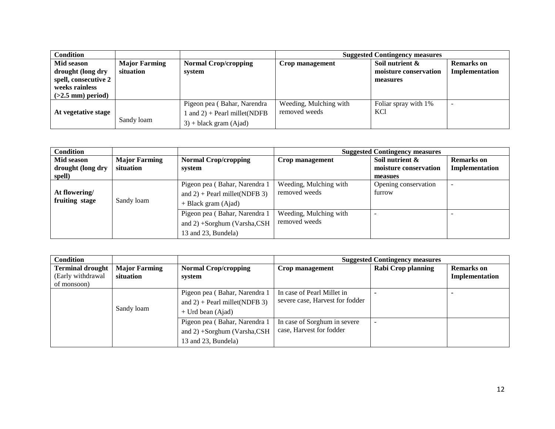| <b>Condition</b>                                                                                 |                                   |                                                                                           |                                         | <b>Suggested Contingency measures</b>                |                                     |
|--------------------------------------------------------------------------------------------------|-----------------------------------|-------------------------------------------------------------------------------------------|-----------------------------------------|------------------------------------------------------|-------------------------------------|
| Mid season<br>drought (long dry<br>spell, consecutive 2<br>weeks rainless<br>$(>2.5$ mm) period) | <b>Major Farming</b><br>situation | <b>Normal Crop/cropping</b><br>system                                                     | Crop management                         | Soil nutrient &<br>moisture conservation<br>measures | <b>Remarks</b> on<br>Implementation |
| At vegetative stage                                                                              | Sandy loam                        | Pigeon pea (Bahar, Narendra<br>and $2$ ) + Pearl millet(NDFB<br>$3$ ) + black gram (Ajad) | Weeding, Mulching with<br>removed weeds | Foliar spray with 1%<br><b>KCl</b>                   |                                     |

| <b>Condition</b>                |                                   |                                       | <b>Suggested Contingency measures</b> |                                          |                                     |
|---------------------------------|-----------------------------------|---------------------------------------|---------------------------------------|------------------------------------------|-------------------------------------|
| Mid season<br>drought (long dry | <b>Major Farming</b><br>situation | <b>Normal Crop/cropping</b><br>system | Crop management                       | Soil nutrient &<br>moisture conservation | <b>Remarks</b> on<br>Implementation |
| spell)                          |                                   |                                       |                                       | measues                                  |                                     |
|                                 |                                   | Pigeon pea (Bahar, Narendra 1         | Weeding, Mulching with                | Opening conservation                     |                                     |
| At flowering/                   | Sandy loam                        | and $2$ ) + Pearl millet(NDFB 3)      | removed weeds                         | furrow                                   |                                     |
| fruiting stage                  |                                   | + Black gram (Ajad)                   |                                       |                                          |                                     |
|                                 |                                   | Pigeon pea (Bahar, Narendra 1         | Weeding, Mulching with                |                                          |                                     |
|                                 |                                   | and 2) +Sorghum (Varsha,CSH           | removed weeds                         |                                          |                                     |
|                                 |                                   | 13 and 23, Bundela)                   |                                       |                                          |                                     |

| <b>Condition</b>                                            |                                   |                                                                                          | <b>Suggested Contingency measures</b>                         |                    |                                     |
|-------------------------------------------------------------|-----------------------------------|------------------------------------------------------------------------------------------|---------------------------------------------------------------|--------------------|-------------------------------------|
| <b>Terminal drought</b><br>(Early withdrawal<br>of monsoon) | <b>Major Farming</b><br>situation | <b>Normal Crop/cropping</b><br>system                                                    | Crop management                                               | Rabi Crop planning | <b>Remarks</b> on<br>Implementation |
|                                                             | Sandy loam                        | Pigeon pea (Bahar, Narendra 1<br>and $2$ ) + Pearl millet(NDFB 3)<br>$+$ Urd bean (Ajad) | In case of Pearl Millet in<br>severe case, Harvest for fodder |                    |                                     |
|                                                             |                                   | Pigeon pea (Bahar, Narendra 1<br>and $2) +$ Sorghum (Varsha, CSH<br>13 and 23, Bundela)  | In case of Sorghum in severe<br>case, Harvest for fodder      |                    |                                     |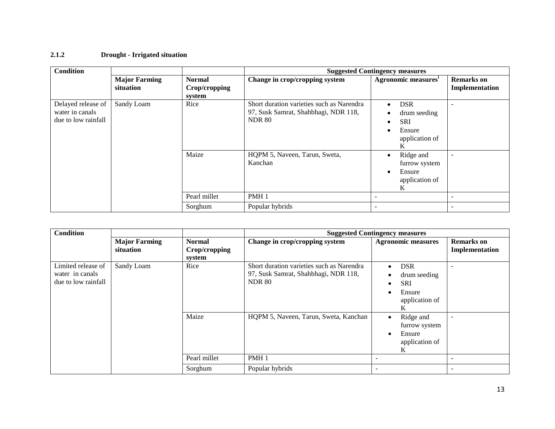### **2.1.2 Drought - Irrigated situation**

| <b>Condition</b>                                             |                                   |                                          |                                                                                                    | <b>Suggested Contingency measures</b>                                                       |                                     |
|--------------------------------------------------------------|-----------------------------------|------------------------------------------|----------------------------------------------------------------------------------------------------|---------------------------------------------------------------------------------------------|-------------------------------------|
|                                                              | <b>Major Farming</b><br>situation | <b>Normal</b><br>Crop/cropping<br>system | Change in crop/cropping system                                                                     | Agronomic measures <sup>1</sup>                                                             | <b>Remarks</b> on<br>Implementation |
| Delayed release of<br>water in canals<br>due to low rainfall | Sandy Loam                        | Rice                                     | Short duration varieties such as Narendra<br>97, Susk Samrat, Shahbhagi, NDR 118,<br><b>NDR 80</b> | <b>DSR</b><br>$\bullet$<br>drum seeding<br>٠<br><b>SRI</b><br>٠<br>Ensure<br>application of |                                     |
|                                                              |                                   | Maize                                    | HQPM 5, Naveen, Tarun, Sweta,<br>Kanchan                                                           | Ridge and<br>٠<br>furrow system<br>Ensure<br>٠<br>application of<br>K                       | $\overline{\phantom{0}}$            |
|                                                              |                                   | Pearl millet                             | PMH <sub>1</sub>                                                                                   |                                                                                             |                                     |
|                                                              |                                   | Sorghum                                  | Popular hybrids                                                                                    |                                                                                             | $\overline{\phantom{a}}$            |

| <b>Condition</b>                                             |                                   |                                          |                                                                                                    | <b>Suggested Contingency measures</b>                                                               |                                     |
|--------------------------------------------------------------|-----------------------------------|------------------------------------------|----------------------------------------------------------------------------------------------------|-----------------------------------------------------------------------------------------------------|-------------------------------------|
|                                                              | <b>Major Farming</b><br>situation | <b>Normal</b><br>Crop/cropping<br>system | Change in crop/cropping system                                                                     | <b>Agronomic measures</b>                                                                           | <b>Remarks</b> on<br>Implementation |
| Limited release of<br>water in canals<br>due to low rainfall | Sandy Loam                        | Rice                                     | Short duration varieties such as Narendra<br>97, Susk Samrat, Shahbhagi, NDR 118,<br><b>NDR 80</b> | <b>DSR</b><br>$\bullet$<br>drum seeding<br>$\bullet$<br><b>SRI</b><br>Ensure<br>application of<br>K |                                     |
|                                                              |                                   | Maize                                    | HQPM 5, Naveen, Tarun, Sweta, Kanchan                                                              | Ridge and<br>$\bullet$<br>furrow system<br>Ensure<br>٠<br>application of<br>K                       | $\overline{\phantom{a}}$            |
|                                                              |                                   | Pearl millet                             | PMH <sub>1</sub>                                                                                   |                                                                                                     |                                     |
|                                                              |                                   | Sorghum                                  | Popular hybrids                                                                                    | ۰                                                                                                   | ۰                                   |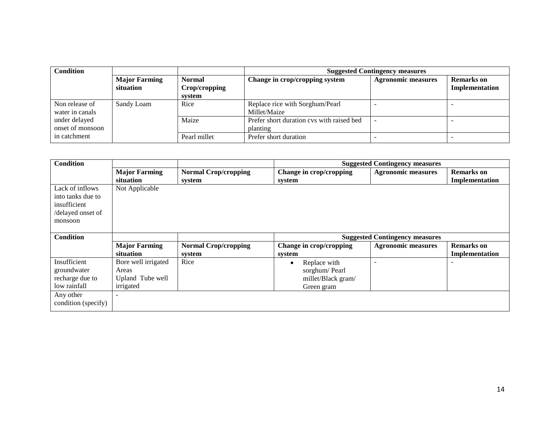| <b>Condition</b>                  |                                   |                                          | <b>Suggested Contingency measures</b>                 |                           |                                     |
|-----------------------------------|-----------------------------------|------------------------------------------|-------------------------------------------------------|---------------------------|-------------------------------------|
|                                   | <b>Major Farming</b><br>situation | <b>Normal</b><br>Crop/cropping<br>system | Change in crop/cropping system                        | <b>Agronomic measures</b> | <b>Remarks</b> on<br>Implementation |
| Non release of<br>water in canals | Sandy Loam                        | Rice                                     | Replace rice with Sorghum/Pearl<br>Millet/Maize       |                           |                                     |
| under delayed<br>onset of monsoon |                                   | Maize                                    | Prefer short duration cvs with raised bed<br>planting |                           |                                     |
| in catchment                      |                                   | Pearl millet                             | Prefer short duration                                 |                           |                                     |

| <b>Condition</b>    |                          |                             |                           | <b>Suggested Contingency measures</b> |                   |
|---------------------|--------------------------|-----------------------------|---------------------------|---------------------------------------|-------------------|
|                     | <b>Major Farming</b>     | <b>Normal Crop/cropping</b> | Change in crop/cropping   | <b>Agronomic measures</b>             | <b>Remarks</b> on |
|                     | situation                | system                      | system                    |                                       | Implementation    |
| Lack of inflows     | Not Applicable           |                             |                           |                                       |                   |
| into tanks due to   |                          |                             |                           |                                       |                   |
| insufficient        |                          |                             |                           |                                       |                   |
| /delayed onset of   |                          |                             |                           |                                       |                   |
| monsoon             |                          |                             |                           |                                       |                   |
|                     |                          |                             |                           |                                       |                   |
| <b>Condition</b>    |                          |                             |                           | <b>Suggested Contingency measures</b> |                   |
|                     | <b>Major Farming</b>     | <b>Normal Crop/cropping</b> | Change in crop/cropping   | <b>Agronomic measures</b>             | <b>Remarks</b> on |
|                     | situation                | system                      | system                    |                                       | Implementation    |
| Insufficient        | Bore well irrigated      | Rice                        | Replace with<br>$\bullet$ |                                       |                   |
| groundwater         | Areas                    |                             | sorghum/Pearl             |                                       |                   |
| recharge due to     | Upland Tube well         |                             | millet/Black gram/        |                                       |                   |
| low rainfall        | irrigated                |                             | Green gram                |                                       |                   |
| Any other           | $\overline{\phantom{0}}$ |                             |                           |                                       |                   |
| condition (specify) |                          |                             |                           |                                       |                   |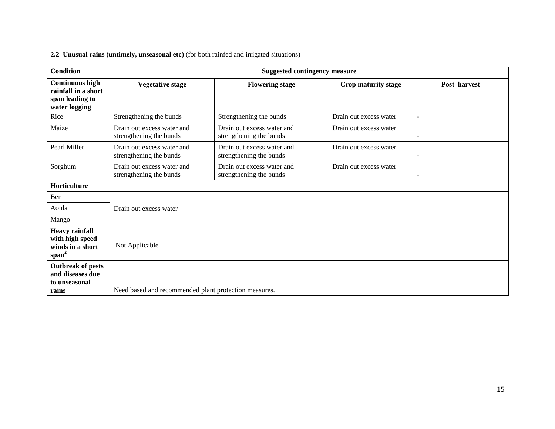|  | 2.2 Unusual rains (untimely, unseasonal etc) (for both rainfed and irrigated situations) |  |  |  |  |  |  |
|--|------------------------------------------------------------------------------------------|--|--|--|--|--|--|
|--|------------------------------------------------------------------------------------------|--|--|--|--|--|--|

| <b>Condition</b>                                                                  | <b>Suggested contingency measure</b>                  |                                                       |                        |                          |  |  |  |
|-----------------------------------------------------------------------------------|-------------------------------------------------------|-------------------------------------------------------|------------------------|--------------------------|--|--|--|
| <b>Continuous high</b><br>rainfall in a short<br>span leading to<br>water logging | <b>Vegetative stage</b>                               | <b>Flowering stage</b>                                | Crop maturity stage    | Post harvest             |  |  |  |
| Rice                                                                              | Strengthening the bunds                               | Strengthening the bunds                               | Drain out excess water | ÷,                       |  |  |  |
| Maize                                                                             | Drain out excess water and<br>strengthening the bunds | Drain out excess water and<br>strengthening the bunds | Drain out excess water | $\overline{a}$           |  |  |  |
| Pearl Millet                                                                      | Drain out excess water and<br>strengthening the bunds | Drain out excess water and<br>strengthening the bunds | Drain out excess water | $\overline{\phantom{0}}$ |  |  |  |
| Sorghum                                                                           | Drain out excess water and<br>strengthening the bunds | Drain out excess water and<br>strengthening the bunds | Drain out excess water | $\overline{\phantom{a}}$ |  |  |  |
| Horticulture                                                                      |                                                       |                                                       |                        |                          |  |  |  |
| Ber                                                                               |                                                       |                                                       |                        |                          |  |  |  |
| Aonla                                                                             | Drain out excess water                                |                                                       |                        |                          |  |  |  |
| Mango                                                                             |                                                       |                                                       |                        |                          |  |  |  |
| <b>Heavy rainfall</b><br>with high speed<br>winds in a short<br>$span^2$          | Not Applicable                                        |                                                       |                        |                          |  |  |  |
| <b>Outbreak of pests</b><br>and diseases due<br>to unseasonal<br>rains            | Need based and recommended plant protection measures. |                                                       |                        |                          |  |  |  |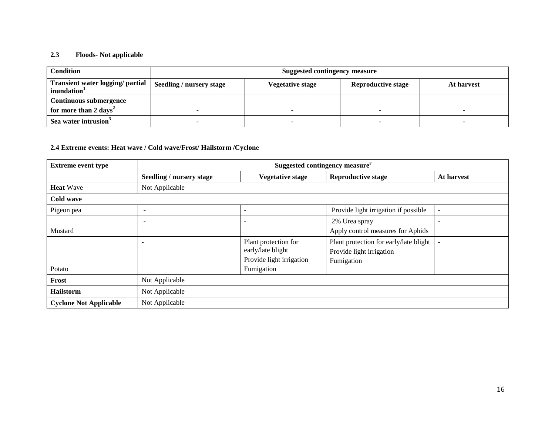#### **2.3 Floods- Not applicable**

| <b>Condition</b>                                            | Suggested contingency measure   |                  |                           |            |  |  |
|-------------------------------------------------------------|---------------------------------|------------------|---------------------------|------------|--|--|
| Transient water logging/ partial<br>inundation <sup>1</sup> | <b>Seedling / nursery stage</b> | Vegetative stage | <b>Reproductive stage</b> | At harvest |  |  |
| Continuous submergence                                      |                                 |                  |                           |            |  |  |
| for more than 2 days <sup>2</sup>                           |                                 |                  |                           |            |  |  |
| Sea water intrusion <sup>3</sup>                            | -                               |                  |                           |            |  |  |

#### **2.4 Extreme events: Heat wave / Cold wave/Frost/ Hailstorm /Cyclone**

| <b>Extreme event type</b>     | Suggested contingency measure <sup>r</sup> |                                                                       |                                                                                  |                          |  |
|-------------------------------|--------------------------------------------|-----------------------------------------------------------------------|----------------------------------------------------------------------------------|--------------------------|--|
|                               | Seedling / nursery stage                   | <b>Vegetative stage</b>                                               | <b>Reproductive stage</b>                                                        | At harvest               |  |
| <b>Heat Wave</b>              | Not Applicable                             |                                                                       |                                                                                  |                          |  |
| Cold wave                     |                                            |                                                                       |                                                                                  |                          |  |
| Pigeon pea                    | -                                          |                                                                       | Provide light irrigation if possible                                             | $\overline{\phantom{a}}$ |  |
| Mustard                       |                                            |                                                                       | 2% Urea spray<br>Apply control measures for Aphids                               | $\overline{\phantom{a}}$ |  |
|                               | $\overline{\phantom{0}}$                   | Plant protection for<br>early/late blight<br>Provide light irrigation | Plant protection for early/late blight<br>Provide light irrigation<br>Fumigation |                          |  |
| Potato                        |                                            | Fumigation                                                            |                                                                                  |                          |  |
| Frost                         | Not Applicable                             |                                                                       |                                                                                  |                          |  |
| <b>Hailstorm</b>              | Not Applicable                             |                                                                       |                                                                                  |                          |  |
| <b>Cyclone Not Applicable</b> | Not Applicable                             |                                                                       |                                                                                  |                          |  |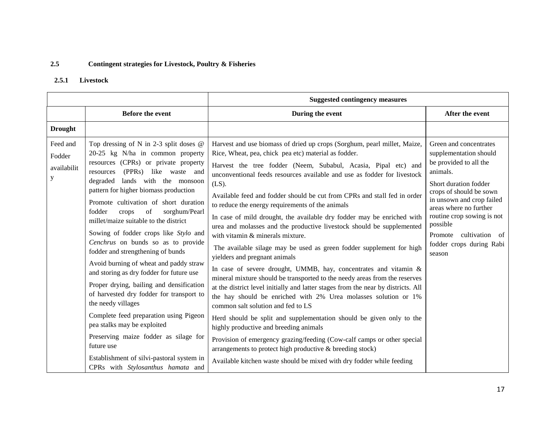## **2.5 Contingent strategies for Livestock, Poultry & Fisheries**

#### **2.5.1 Livestock**

|                                        |                                                                                                                                                                                                                                                                                                                                                                                                                                                                                                                                                                                                                                                                                                                                                                                                                                                                                                           | <b>Suggested contingency measures</b>                                                                                                                                                                                                                                                                                                                                                                                                                                                                                                                                                                                                                                                                                                                                                                                                                                                                                                                                                                                                                                                                                                                                                                                                                                                                                                                                                                         |                                                                                                                                                                                                                                                                                                                |  |
|----------------------------------------|-----------------------------------------------------------------------------------------------------------------------------------------------------------------------------------------------------------------------------------------------------------------------------------------------------------------------------------------------------------------------------------------------------------------------------------------------------------------------------------------------------------------------------------------------------------------------------------------------------------------------------------------------------------------------------------------------------------------------------------------------------------------------------------------------------------------------------------------------------------------------------------------------------------|---------------------------------------------------------------------------------------------------------------------------------------------------------------------------------------------------------------------------------------------------------------------------------------------------------------------------------------------------------------------------------------------------------------------------------------------------------------------------------------------------------------------------------------------------------------------------------------------------------------------------------------------------------------------------------------------------------------------------------------------------------------------------------------------------------------------------------------------------------------------------------------------------------------------------------------------------------------------------------------------------------------------------------------------------------------------------------------------------------------------------------------------------------------------------------------------------------------------------------------------------------------------------------------------------------------------------------------------------------------------------------------------------------------|----------------------------------------------------------------------------------------------------------------------------------------------------------------------------------------------------------------------------------------------------------------------------------------------------------------|--|
|                                        | <b>Before the event</b>                                                                                                                                                                                                                                                                                                                                                                                                                                                                                                                                                                                                                                                                                                                                                                                                                                                                                   | During the event                                                                                                                                                                                                                                                                                                                                                                                                                                                                                                                                                                                                                                                                                                                                                                                                                                                                                                                                                                                                                                                                                                                                                                                                                                                                                                                                                                                              | After the event                                                                                                                                                                                                                                                                                                |  |
| <b>Drought</b>                         |                                                                                                                                                                                                                                                                                                                                                                                                                                                                                                                                                                                                                                                                                                                                                                                                                                                                                                           |                                                                                                                                                                                                                                                                                                                                                                                                                                                                                                                                                                                                                                                                                                                                                                                                                                                                                                                                                                                                                                                                                                                                                                                                                                                                                                                                                                                                               |                                                                                                                                                                                                                                                                                                                |  |
| Feed and<br>Fodder<br>availabilit<br>y | Top dressing of N in 2-3 split doses $@$<br>20-25 kg N/ha in common property<br>resources (CPRs) or private property<br>resources (PPRs) like waste and<br>degraded lands with the monsoon<br>pattern for higher biomass production<br>Promote cultivation of short duration<br>of<br>fodder<br>sorghum/Pearl<br>crops<br>millet/maize suitable to the district<br>Sowing of fodder crops like Stylo and<br>Cenchrus on bunds so as to provide<br>fodder and strengthening of bunds<br>Avoid burning of wheat and paddy straw<br>and storing as dry fodder for future use<br>Proper drying, bailing and densification<br>of harvested dry fodder for transport to<br>the needy villages<br>Complete feed preparation using Pigeon<br>pea stalks may be exploited<br>Preserving maize fodder as silage for<br>future use<br>Establishment of silvi-pastoral system in<br>CPRs with Stylosanthus hamata and | Harvest and use biomass of dried up crops (Sorghum, pearl millet, Maize,<br>Rice, Wheat, pea, chick pea etc) material as fodder.<br>Harvest the tree fodder (Neem, Subabul, Acasia, Pipal etc) and<br>unconventional feeds resources available and use as fodder for livestock<br>$(LS)$ .<br>Available feed and fodder should be cut from CPRs and stall fed in order<br>to reduce the energy requirements of the animals<br>In case of mild drought, the available dry fodder may be enriched with<br>urea and molasses and the productive livestock should be supplemented<br>with vitamin & minerals mixture.<br>The available silage may be used as green fodder supplement for high<br>yielders and pregnant animals<br>In case of severe drought, UMMB, hay, concentrates and vitamin &<br>mineral mixture should be transported to the needy areas from the reserves<br>at the district level initially and latter stages from the near by districts. All<br>the hay should be enriched with 2% Urea molasses solution or 1%<br>common salt solution and fed to LS<br>Herd should be split and supplementation should be given only to the<br>highly productive and breeding animals<br>Provision of emergency grazing/feeding (Cow-calf camps or other special<br>arrangements to protect high productive & breeding stock)<br>Available kitchen waste should be mixed with dry fodder while feeding | Green and concentrates<br>supplementation should<br>be provided to all the<br>animals.<br>Short duration fodder<br>crops of should be sown<br>in unsown and crop failed<br>areas where no further<br>routine crop sowing is not<br>possible<br>cultivation of<br>Promote<br>fodder crops during Rabi<br>season |  |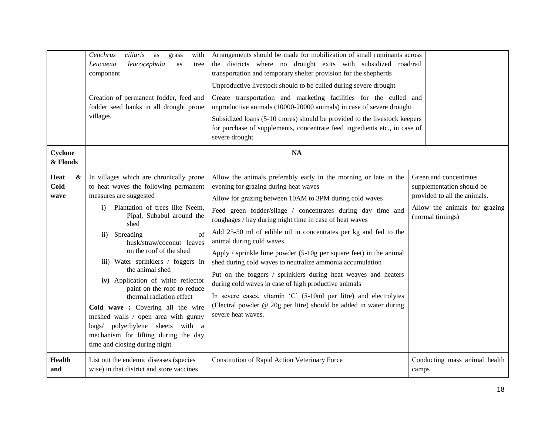|                                           | Cenchrus<br>ciliaris<br>with<br>as<br>grass<br>leucocephala<br>Leucaena<br>as<br>tree<br>component<br>Creation of permanent fodder, feed and<br>fodder seed banks in all drought prone<br>villages                                                                                                                                                                                                                                                                                                                                                                                                                                           | Arrangements should be made for mobilization of small ruminants across<br>the districts where no drought exits with subsidized road/rail<br>transportation and temporary shelter provision for the shepherds<br>Unproductive livestock should to be culled during severe drought<br>Create transportation and marketing facilities for the culled and<br>unproductive animals (10000-20000 animals) in case of severe drought<br>Subsidized loans (5-10 crores) should be provided to the livestock keepers<br>for purchase of supplements, concentrate feed ingredients etc., in case of<br>severe drought                                                                                                                                                                                                                    |                                                                                                                                          |
|-------------------------------------------|----------------------------------------------------------------------------------------------------------------------------------------------------------------------------------------------------------------------------------------------------------------------------------------------------------------------------------------------------------------------------------------------------------------------------------------------------------------------------------------------------------------------------------------------------------------------------------------------------------------------------------------------|--------------------------------------------------------------------------------------------------------------------------------------------------------------------------------------------------------------------------------------------------------------------------------------------------------------------------------------------------------------------------------------------------------------------------------------------------------------------------------------------------------------------------------------------------------------------------------------------------------------------------------------------------------------------------------------------------------------------------------------------------------------------------------------------------------------------------------|------------------------------------------------------------------------------------------------------------------------------------------|
| Cyclone<br>& Floods                       |                                                                                                                                                                                                                                                                                                                                                                                                                                                                                                                                                                                                                                              | NA                                                                                                                                                                                                                                                                                                                                                                                                                                                                                                                                                                                                                                                                                                                                                                                                                             |                                                                                                                                          |
| Heat<br>$\boldsymbol{\&}$<br>Cold<br>wave | In villages which are chronically prone<br>to heat waves the following permanent<br>measures are suggested<br>Plantation of trees like Neem,<br>$\mathbf{i}$<br>Pipal, Subabul around the<br>shed<br>Spreading<br>of<br>$\rm ii)$<br>husk/straw/coconut leaves<br>on the roof of the shed<br>iii) Water sprinklers / foggers in<br>the animal shed<br>iv) Application of white reflector<br>paint on the roof to reduce<br>thermal radiation effect<br>Cold wave : Covering all the wire<br>meshed walls / open area with gunny<br>bags/ polyethylene sheets with a<br>mechanism for lifting during the day<br>time and closing during night | Allow the animals preferably early in the morning or late in the<br>evening for grazing during heat waves<br>Allow for grazing between 10AM to 3PM during cold waves<br>Feed green fodder/silage / concentrates during day time and<br>roughages / hay during night time in case of heat waves<br>Add 25-50 ml of edible oil in concentrates per kg and fed to the<br>animal during cold waves<br>Apply / sprinkle lime powder $(5-10)$ g per square feet) in the animal<br>shed during cold waves to neutralize ammonia accumulation<br>Put on the foggers / sprinklers during heat weaves and heaters<br>during cold waves in case of high productive animals<br>In severe cases, vitamin 'C' (5-10ml per litre) and electrolytes<br>(Electral powder @ 20g per litre) should be added in water during<br>severe heat waves. | Green and concentrates<br>supplementation should be<br>provided to all the animals.<br>Allow the animals for grazing<br>(normal timings) |
| <b>Health</b><br>and                      | List out the endemic diseases (species<br>wise) in that district and store vaccines                                                                                                                                                                                                                                                                                                                                                                                                                                                                                                                                                          | <b>Constitution of Rapid Action Veterinary Force</b>                                                                                                                                                                                                                                                                                                                                                                                                                                                                                                                                                                                                                                                                                                                                                                           | Conducting mass animal health<br>camps                                                                                                   |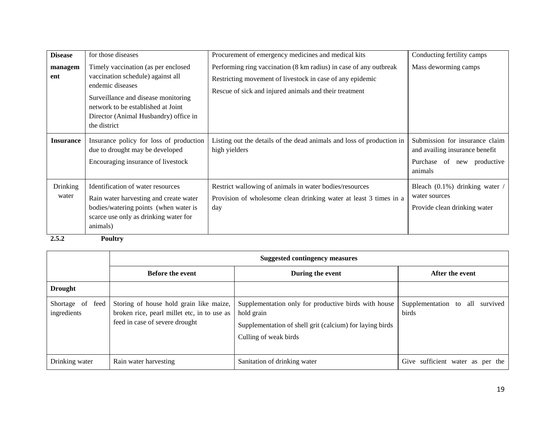| <b>Disease</b>    | for those diseases                                                                                                                                                                                                                 | Procurement of emergency medicines and medical kits                                                                                                                                      | Conducting fertility camps                                                                                |
|-------------------|------------------------------------------------------------------------------------------------------------------------------------------------------------------------------------------------------------------------------------|------------------------------------------------------------------------------------------------------------------------------------------------------------------------------------------|-----------------------------------------------------------------------------------------------------------|
| managem<br>ent    | Timely vaccination (as per enclosed<br>vaccination schedule) against all<br>endemic diseases<br>Surveillance and disease monitoring<br>network to be established at Joint<br>Director (Animal Husbandry) office in<br>the district | Performing ring vaccination (8 km radius) in case of any outbreak<br>Restricting movement of livestock in case of any epidemic<br>Rescue of sick and injured animals and their treatment | Mass deworming camps                                                                                      |
| <b>Insurance</b>  | Insurance policy for loss of production<br>due to drought may be developed<br>Encouraging insurance of livestock                                                                                                                   | Listing out the details of the dead animals and loss of production in<br>high yielders                                                                                                   | Submission for insurance claim<br>and availing insurance benefit<br>Purchase of new productive<br>animals |
| Drinking<br>water | Identification of water resources<br>Rain water harvesting and create water<br>bodies/watering points (when water is<br>scarce use only as drinking water for<br>animals)                                                          | Restrict wallowing of animals in water bodies/resources<br>Provision of wholesome clean drinking water at least 3 times in a<br>day                                                      | Bleach (0.1%) drinking water /<br>water sources<br>Provide clean drinking water                           |

**2.5.2 Poultry** 

|                                    | <b>Suggested contingency measures</b>                                                                                    |                                                                                                                                                         |                                             |  |
|------------------------------------|--------------------------------------------------------------------------------------------------------------------------|---------------------------------------------------------------------------------------------------------------------------------------------------------|---------------------------------------------|--|
|                                    | <b>Before the event</b>                                                                                                  | During the event                                                                                                                                        | After the event                             |  |
| <b>Drought</b>                     |                                                                                                                          |                                                                                                                                                         |                                             |  |
| Shortage of<br>feed<br>ingredients | Storing of house hold grain like maize,<br>broken rice, pearl millet etc, in to use as<br>feed in case of severe drought | Supplementation only for productive birds with house<br>hold grain<br>Supplementation of shell grit (calcium) for laying birds<br>Culling of weak birds | Supplementation to all<br>survived<br>birds |  |
| Drinking water                     | Rain water harvesting                                                                                                    | Sanitation of drinking water                                                                                                                            | Give sufficient water as per the            |  |